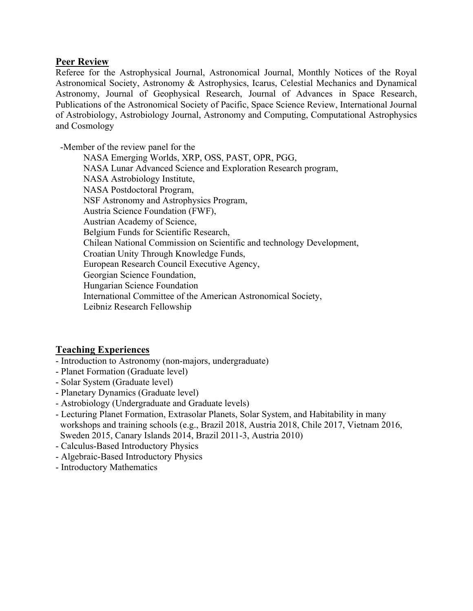## **Peer Review**

Referee for the Astrophysical Journal, Astronomical Journal, Monthly Notices of the Royal Astronomical Society, Astronomy & Astrophysics, Icarus, Celestial Mechanics and Dynamical Astronomy, Journal of Geophysical Research, Journal of Advances in Space Research, Publications of the Astronomical Society of Pacific, Space Science Review, International Journal of Astrobiology, Astrobiology Journal, Astronomy and Computing, Computational Astrophysics and Cosmology Ĭ

-Member of the review panel for the

NASA Emerging Worlds, XRP, OSS, PAST, OPR, PGG, NASA Lunar Advanced Science and Exploration Research program, NASA Astrobiology Institute, NASA Postdoctoral Program, NSF Astronomy and Astrophysics Program, Austria Science Foundation (FWF), Austrian Academy of Science, Belgium Funds for Scientific Research, Chilean National Commission on Scientific and technology Development, Croatian Unity Through Knowledge Funds, European Research Council Executive Agency, Georgian Science Foundation, Hungarian Science Foundation International Committee of the American Astronomical Society, Leibniz Research Fellowship

## **Teaching Experiences**

- Introduction to Astronomy (non-majors, undergraduate)
- Planet Formation (Graduate level)
- Solar System (Graduate level)
- Planetary Dynamics (Graduate level)
- Astrobiology (Undergraduate and Graduate levels)
- Lecturing Planet Formation, Extrasolar Planets, Solar System, and Habitability in many workshops and training schools (e.g., Brazil 2018, Austria 2018, Chile 2017, Vietnam 2016, Sweden 2015, Canary Islands 2014, Brazil 2011-3, Austria 2010)
- Calculus-Based Introductory Physics
- Algebraic-Based Introductory Physics
- Introductory Mathematics